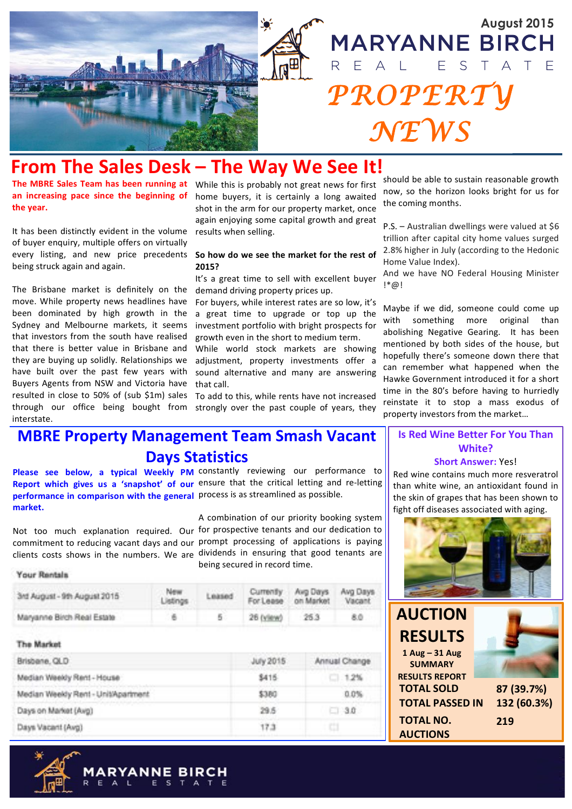

## **From The Sales Desk – The Way We See It!**

The MBRE Sales Team has been running at While this is probably not great news for first the **vear**.

It has been distinctly evident in the volume of buyer enquiry, multiple offers on virtually every listing, and new price precedents So how do we see the market for the rest of being struck again and again.

The Brisbane market is definitely on the move. While property news headlines have been dominated by high growth in the Sydney and Melbourne markets, it seems that investors from the south have realised that there is better value in Brisbane and they are buying up solidly. Relationships we have built over the past few years with Buyers Agents from NSW and Victoria have resulted in close to 50% of (sub \$1m) sales through our office being bought from interstate.

an increasing pace since the beginning of home buyers, it is certainly a long awaited shot in the arm for our property market, once again enjoying some capital growth and great results when selling.

## **2015?**

It's a great time to sell with excellent buyer demand driving property prices up.

For buyers, while interest rates are so low, it's a great time to upgrade or top up the investment portfolio with bright prospects for growth even in the short to medium term.

While world stock markets are showing adjustment, property investments offer a sound alternative and many are answering that call

To add to this, while rents have not increased strongly over the past couple of years, they

should be able to sustain reasonable growth now, so the horizon looks bright for us for the coming months.

P.S. – Australian dwellings were valued at  $$6$ trillion after capital city home values surged 2.8% higher in July (according to the Hedonic Home Value Index).

And we have NO Federal Housing Minister !\*@!

Maybe if we did, someone could come up with something more original than abolishing Negative Gearing. It has been mentioned by both sides of the house, but hopefully there's someone down there that can remember what happened when the Hawke Government introduced it for a short time in the 80's before having to hurriedly reinstate it to stop a mass exodus of property investors from the market...

## **MBRE Property Management Team Smash Vacant Days Statistics**

Please see below, a typical Weekly PM constantly reviewing our performance to Report which gives us a 'snapshot' of our ensure that the critical letting and re-letting **performance in comparison with the general** process is as streamlined as possible. market.

Not too much explanation required. Our for prospective tenants and our dedication to commitment to reducing vacant days and our prompt processing of applications is paying clients costs shows in the numbers. We are dividends in ensuring that good tenants are A combination of our priority booking system being secured in record time.

#### **Your Rentals**

| 3rd August - 9th August 2015 | New:<br>Listings | Leased | Currently Avg Days Avg Days<br>For Lease on Market Vacant |     |
|------------------------------|------------------|--------|-----------------------------------------------------------|-----|
| Maryanne Birch Real Estate   |                  |        | 26 (yiew) 25.3                                            | 8.0 |

| Brisbane, QLD                       | July 2015 | Annual Change |  |
|-------------------------------------|-----------|---------------|--|
| Median Weekly Rent - House          | \$415     | $-1.2%$       |  |
| Median Weekly Rent - Unit/Apartment | \$380     | 0.0%          |  |
| Days on Market (Avg)                | 29.5      | $-30$         |  |
| Days Vacant (Avg)                   | 17.3      | o             |  |



#### **Is Red Wine Better For You Than White?**

#### **Short Answer: Yes!**

Red wine contains much more resveratrol than white wine, an antioxidant found in the skin of grapes that has been shown to fight off diseases associated with aging.